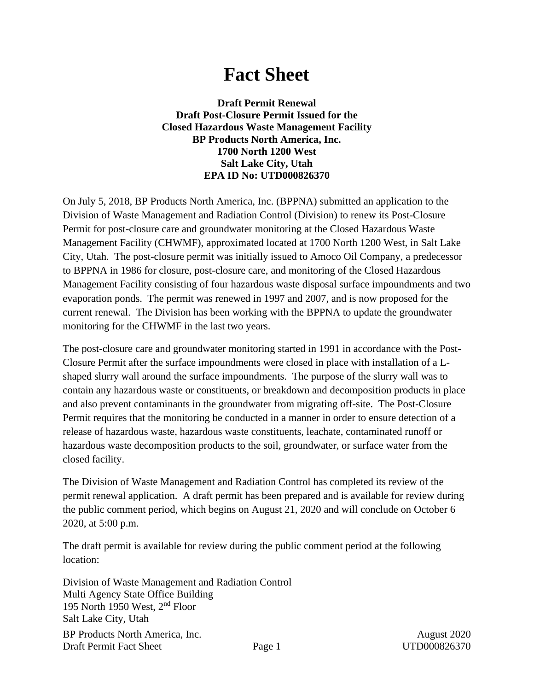# **Fact Sheet**

**Draft Permit Renewal Draft Post-Closure Permit Issued for the Closed Hazardous Waste Management Facility BP Products North America, Inc. 1700 North 1200 West Salt Lake City, Utah EPA ID No: UTD000826370**

On July 5, 2018, BP Products North America, Inc. (BPPNA) submitted an application to the Division of Waste Management and Radiation Control (Division) to renew its Post-Closure Permit for post-closure care and groundwater monitoring at the Closed Hazardous Waste Management Facility (CHWMF), approximated located at 1700 North 1200 West, in Salt Lake City, Utah. The post-closure permit was initially issued to Amoco Oil Company, a predecessor to BPPNA in 1986 for closure, post-closure care, and monitoring of the Closed Hazardous Management Facility consisting of four hazardous waste disposal surface impoundments and two evaporation ponds. The permit was renewed in 1997 and 2007, and is now proposed for the current renewal. The Division has been working with the BPPNA to update the groundwater monitoring for the CHWMF in the last two years.

The post-closure care and groundwater monitoring started in 1991 in accordance with the Post-Closure Permit after the surface impoundments were closed in place with installation of a Lshaped slurry wall around the surface impoundments. The purpose of the slurry wall was to contain any hazardous waste or constituents, or breakdown and decomposition products in place and also prevent contaminants in the groundwater from migrating off-site. The Post-Closure Permit requires that the monitoring be conducted in a manner in order to ensure detection of a release of hazardous waste, hazardous waste constituents, leachate, contaminated runoff or hazardous waste decomposition products to the soil, groundwater, or surface water from the closed facility.

The Division of Waste Management and Radiation Control has completed its review of the permit renewal application. A draft permit has been prepared and is available for review during the public comment period, which begins on August 21, 2020 and will conclude on October 6 2020, at 5:00 p.m.

The draft permit is available for review during the public comment period at the following location:

BP Products North America, Inc.  $\frac{1}{2}$  August 2020 Draft Permit Fact Sheet Page 1 UTD000826370 Division of Waste Management and Radiation Control Multi Agency State Office Building 195 North 1950 West, 2nd Floor Salt Lake City, Utah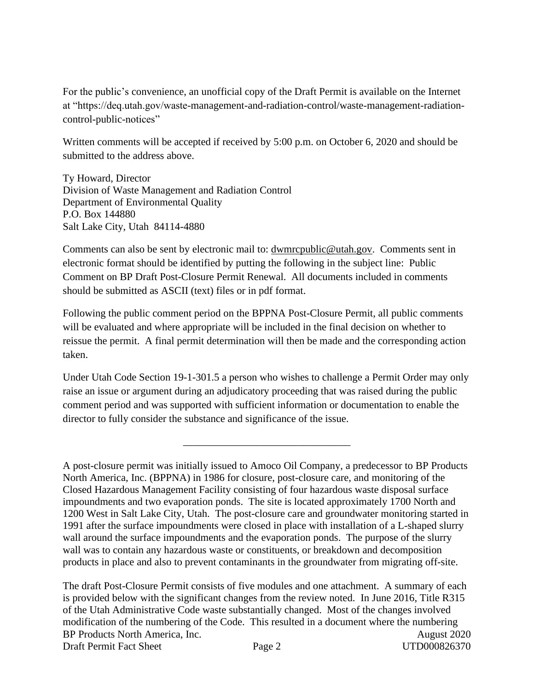For the public's convenience, an unofficial copy of the Draft Permit is available on the Internet at "https://deq.utah.gov/waste-management-and-radiation-control/waste-management-radiationcontrol-public-notices"

Written comments will be accepted if received by 5:00 p.m. on October 6, 2020 and should be submitted to the address above.

Ty Howard, Director Division of Waste Management and Radiation Control Department of Environmental Quality P.O. Box 144880 Salt Lake City, Utah 84114-4880

Comments can also be sent by electronic mail to: <u>dwmrcpublic@utah.gov</u>. Comments sent in electronic format should be identified by putting the following in the subject line: Public Comment on BP Draft Post-Closure Permit Renewal. All documents included in comments should be submitted as ASCII (text) files or in pdf format.

Following the public comment period on the BPPNA Post-Closure Permit, all public comments will be evaluated and where appropriate will be included in the final decision on whether to reissue the permit. A final permit determination will then be made and the corresponding action taken.

Under Utah Code Section 19-1-301.5 a person who wishes to challenge a Permit Order may only raise an issue or argument during an adjudicatory proceeding that was raised during the public comment period and was supported with sufficient information or documentation to enable the director to fully consider the substance and significance of the issue.

\_\_\_\_\_\_\_\_\_\_\_\_\_\_\_\_\_\_\_\_\_\_\_\_\_\_\_\_\_\_\_\_

BP Products North America, Inc.  $\frac{1}{2}$  and  $\frac{1}{2}$  and  $\frac{1}{2}$  and  $\frac{1}{2}$  and  $\frac{1}{2}$  and  $\frac{1}{2}$  and  $\frac{1}{2}$  and  $\frac{1}{2}$  and  $\frac{1}{2}$  and  $\frac{1}{2}$  and  $\frac{1}{2}$  and  $\frac{1}{2}$  and  $\frac{1}{2}$  and  $\frac{1}{2}$ Draft Permit Fact Sheet Page 2 UTD000826370 The draft Post-Closure Permit consists of five modules and one attachment. A summary of each is provided below with the significant changes from the review noted. In June 2016, Title R315 of the Utah Administrative Code waste substantially changed. Most of the changes involved modification of the numbering of the Code. This resulted in a document where the numbering

A post-closure permit was initially issued to Amoco Oil Company, a predecessor to BP Products North America, Inc. (BPPNA) in 1986 for closure, post-closure care, and monitoring of the Closed Hazardous Management Facility consisting of four hazardous waste disposal surface impoundments and two evaporation ponds. The site is located approximately 1700 North and 1200 West in Salt Lake City, Utah. The post-closure care and groundwater monitoring started in 1991 after the surface impoundments were closed in place with installation of a L-shaped slurry wall around the surface impoundments and the evaporation ponds. The purpose of the slurry wall was to contain any hazardous waste or constituents, or breakdown and decomposition products in place and also to prevent contaminants in the groundwater from migrating off-site.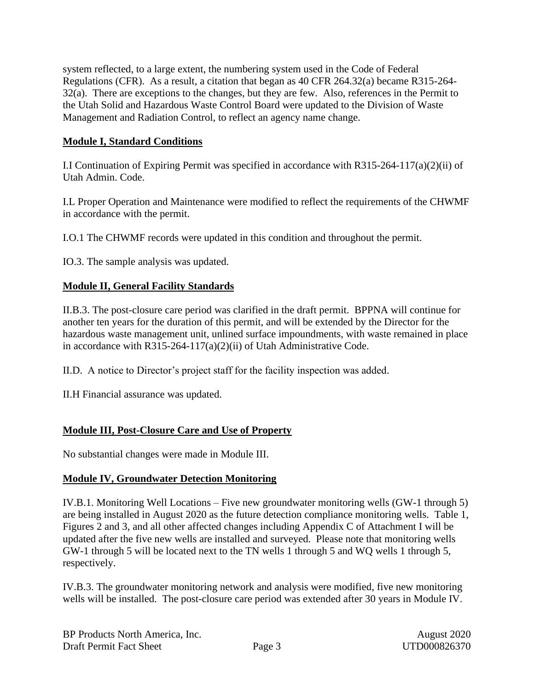system reflected, to a large extent, the numbering system used in the Code of Federal Regulations (CFR). As a result, a citation that began as 40 CFR 264.32(a) became R315-264- 32(a). There are exceptions to the changes, but they are few. Also, references in the Permit to the Utah Solid and Hazardous Waste Control Board were updated to the Division of Waste Management and Radiation Control, to reflect an agency name change.

# **Module I, Standard Conditions**

I.I Continuation of Expiring Permit was specified in accordance with  $R315-264-117(a)(2)(ii)$  of Utah Admin. Code.

I.L Proper Operation and Maintenance were modified to reflect the requirements of the CHWMF in accordance with the permit.

I.O.1 The CHWMF records were updated in this condition and throughout the permit.

IO.3. The sample analysis was updated.

#### **Module II, General Facility Standards**

II.B.3. The post-closure care period was clarified in the draft permit. BPPNA will continue for another ten years for the duration of this permit, and will be extended by the Director for the hazardous waste management unit, unlined surface impoundments, with waste remained in place in accordance with R315-264-117(a)(2)(ii) of Utah Administrative Code.

II.D. A notice to Director's project staff for the facility inspection was added.

II.H Financial assurance was updated.

# **Module III, Post-Closure Care and Use of Property**

No substantial changes were made in Module III.

#### **Module IV, Groundwater Detection Monitoring**

IV.B.1. Monitoring Well Locations – Five new groundwater monitoring wells (GW-1 through 5) are being installed in August 2020 as the future detection compliance monitoring wells. Table 1, Figures 2 and 3, and all other affected changes including Appendix C of Attachment I will be updated after the five new wells are installed and surveyed. Please note that monitoring wells GW-1 through 5 will be located next to the TN wells 1 through 5 and WQ wells 1 through 5, respectively.

IV.B.3. The groundwater monitoring network and analysis were modified, five new monitoring wells will be installed. The post-closure care period was extended after 30 years in Module IV.